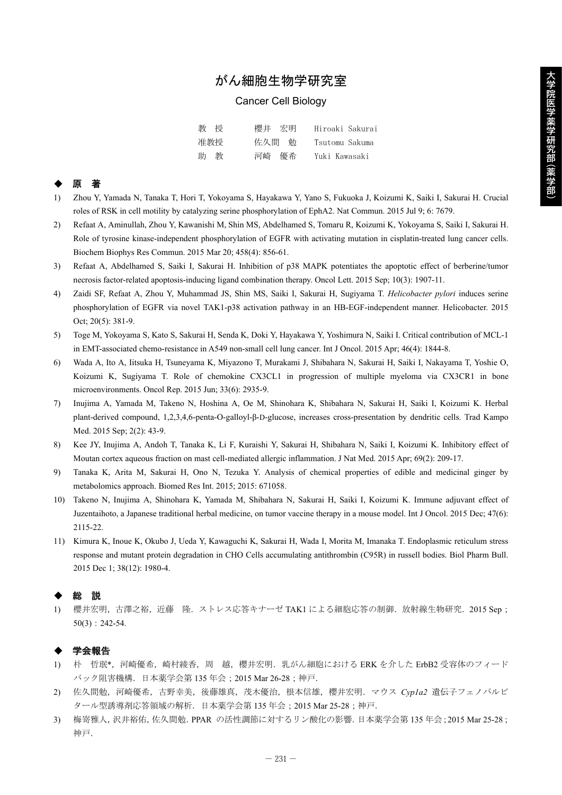# がん細胞生物学研究室

#### Cancer Cell Biology

| 教授  | 櫻井 宏明 | Hiroaki Sakurai |
|-----|-------|-----------------|
| 准教授 | 佐久間 勉 | Tsutomu Sakuma  |
| 助 教 | 河崎 優希 | Yuki Kawasaki   |

## ◆ 原 著

- 1) Zhou Y, Yamada N, Tanaka T, Hori T, Yokoyama S, Hayakawa Y, Yano S, Fukuoka J, Koizumi K, Saiki I, Sakurai H. Crucial roles of RSK in cell motility by catalyzing serine phosphorylation of EphA2. Nat Commun. 2015 Jul 9; 6: 7679.
- 2) Refaat A, Aminullah, Zhou Y, Kawanishi M, Shin MS, Abdelhamed S, Tomaru R, Koizumi K, Yokoyama S, Saiki I, Sakurai H. Role of tyrosine kinase-independent phosphorylation of EGFR with activating mutation in cisplatin-treated lung cancer cells. Biochem Biophys Res Commun. 2015 Mar 20; 458(4): 856-61.
- 3) Refaat A, Abdelhamed S, Saiki I, Sakurai H. Inhibition of p38 MAPK potentiates the apoptotic effect of berberine/tumor necrosis factor-related apoptosis-inducing ligand combination therapy. Oncol Lett. 2015 Sep; 10(3): 1907-11.
- 4) Zaidi SF, Refaat A, Zhou Y, Muhammad JS, Shin MS, Saiki I, Sakurai H, Sugiyama T. *Helicobacter pylori* induces serine phosphorylation of EGFR via novel TAK1-p38 activation pathway in an HB-EGF-independent manner. Helicobacter. 2015 Oct; 20(5): 381-9.
- 5) Toge M, Yokoyama S, Kato S, Sakurai H, Senda K, Doki Y, Hayakawa Y, Yoshimura N, Saiki I. Critical contribution of MCL-1 in EMT-associated chemo-resistance in A549 non-small cell lung cancer. Int J Oncol. 2015 Apr; 46(4): 1844-8.
- 6) Wada A, Ito A, Iitsuka H, Tsuneyama K, Miyazono T, Murakami J, Shibahara N, Sakurai H, Saiki I, Nakayama T, Yoshie O, Koizumi K, Sugiyama T. Role of chemokine CX3CL1 in progression of multiple myeloma via CX3CR1 in bone microenvironments. Oncol Rep. 2015 Jun; 33(6): 2935-9.
- 7) Inujima A, Yamada M, Takeno N, Hoshina A, Oe M, Shinohara K, Shibahara N, Sakurai H, Saiki I, Koizumi K. Herbal plant-derived compound, 1,2,3,4,6-penta-O-galloyl-β-D-glucose, increases cross-presentation by dendritic cells. Trad Kampo Med. 2015 Sep; 2(2): 43-9.
- 8) Kee JY, Inujima A, Andoh T, Tanaka K, Li F, Kuraishi Y, Sakurai H, Shibahara N, Saiki I, Koizumi K. Inhibitory effect of Moutan cortex aqueous fraction on mast cell-mediated allergic inflammation. J Nat Med. 2015 Apr; 69(2): 209-17.
- 9) Tanaka K, Arita M, Sakurai H, Ono N, Tezuka Y. Analysis of chemical properties of edible and medicinal ginger by metabolomics approach. Biomed Res Int. 2015; 2015: 671058.
- 10) Takeno N, Inujima A, Shinohara K, Yamada M, Shibahara N, Sakurai H, Saiki I, Koizumi K. Immune adjuvant effect of Juzentaihoto, a Japanese traditional herbal medicine, on tumor vaccine therapy in a mouse model. Int J Oncol. 2015 Dec; 47(6): 2115-22.
- 11) Kimura K, Inoue K, Okubo J, Ueda Y, Kawaguchi K, Sakurai H, Wada I, Morita M, Imanaka T. Endoplasmic reticulum stress response and mutant protein degradation in CHO Cells accumulating antithrombin (C95R) in russell bodies. Biol Pharm Bull. 2015 Dec 1; 38(12): 1980-4.

### ◆ 総 説

1) 櫻井宏明,古澤之裕,近藤 隆.ストレス応答キナーゼ TAK1 による細胞応答の制御.放射線生物研究.2015 Sep; 50(3):242-54.

#### 学会報告

- 1) 朴 哲珉\*,河崎優希,崎村綾香,周 越,櫻井宏明. 乳がん細胞における ERK を介した ErbB2 受容体のフィード バック阻害機構.日本薬学会第 135 年会;2015 Mar 26-28;神戸.
- 2) 佐久間勉,河崎優希,古野幸美,後藤雄真,茂木優治,根本信雄,櫻井宏明.マウス *Cyp1a2* 遺伝子フェノバルビ タール型誘導剤応答領域の解析.日本薬学会第 135 年会;2015 Mar 25-28;神戸.
- 3) 梅嵜雅人,沢井裕佑,佐久間勉. PPAR の活性調節に対するリン酸化の影響.日本薬学会第 135 年会; 2015 Mar 25-28; 神戸.